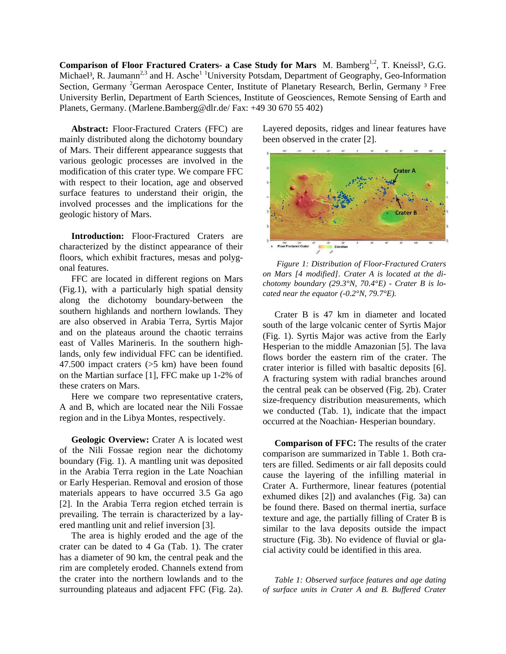**Comparison of Floor Fractured Craters- a Case Study for Mars** M. Bamberg<sup>1,2</sup>, T. Kneissl<sup>3</sup>, G.G. Michael<sup>3</sup>, R. Jaumann<sup>2,3</sup> and H. Asche<sup>1 1</sup>University Potsdam, Department of Geography, Geo-Information Section, Germany <sup>2</sup>German Aerospace Center, Institute of Planetary Research, Berlin, Germany <sup>3</sup> Free University Berlin, Department of Earth Sciences, Institute of Geosciences, Remote Sensing of Earth and Planets, Germany. (Marlene.Bamberg@dlr.de/ Fax: +49 30 670 55 402)

**Abstract:** Floor-Fractured Craters (FFC) are mainly distributed along the dichotomy boundary of Mars. Their different appearance suggests that various geologic processes are involved in the modification of this crater type. We compare FFC with respect to their location, age and observed surface features to understand their origin, the involved processes and the implications for the geologic history of Mars.

**Introduction:** Floor-Fractured Craters are characterized by the distinct appearance of their floors, which exhibit fractures, mesas and polygonal features.

FFC are located in different regions on Mars (Fig.1), with a particularly high spatial density along the dichotomy boundary-between the southern highlands and northern lowlands. They are also observed in Arabia Terra, Syrtis Major and on the plateaus around the chaotic terrains east of Valles Marineris. In the southern highlands, only few individual FFC can be identified. 47.500 impact craters (>5 km) have been found on the Martian surface [1], FFC make up 1-2% of these craters on Mars.

Here we compare two representative craters, A and B, which are located near the Nili Fossae region and in the Libya Montes, respectively.

**Geologic Overview:** Crater A is located west of the Nili Fossae region near the dichotomy boundary (Fig. 1). A mantling unit was deposited in the Arabia Terra region in the Late Noachian or Early Hesperian. Removal and erosion of those materials appears to have occurred 3.5 Ga ago [2]. In the Arabia Terra region etched terrain is prevailing. The terrain is characterized by a layered mantling unit and relief inversion [3].

The area is highly eroded and the age of the crater can be dated to 4 Ga (Tab. 1). The crater has a diameter of 90 km, the central peak and the rim are completely eroded. Channels extend from the crater into the northern lowlands and to the surrounding plateaus and adjacent FFC (Fig. 2a). Layered deposits, ridges and linear features have been observed in the crater [2].



*Figure 1: Distribution of Floor-Fractured Craters on Mars [4 modified]. Crater A is located at the dichotomy boundary (29.3°N, 70.4°E) - Crater B is located near the equator (-0.2°N, 79.7°E).*

Crater B is 47 km in diameter and located south of the large volcanic center of Syrtis Major (Fig. 1). Syrtis Major was active from the Early Hesperian to the middle Amazonian [5]. The lava flows border the eastern rim of the crater. The crater interior is filled with basaltic deposits [6]. A fracturing system with radial branches around the central peak can be observed (Fig. 2b). Crater size-frequency distribution measurements, which we conducted (Tab. 1), indicate that the impact occurred at the Noachian- Hesperian boundary.

**Comparison of FFC:** The results of the crater comparison are summarized in Table 1. Both craters are filled. Sediments or air fall deposits could cause the layering of the infilling material in Crater A. Furthermore, linear features (potential exhumed dikes [2]) and avalanches (Fig. 3a) can be found there. Based on thermal inertia, surface texture and age, the partially filling of Crater B is similar to the lava deposits outside the impact structure (Fig. 3b). No evidence of fluvial or glacial activity could be identified in this area.

*Table 1: Observed surface features and age dating of surface units in Crater A and B. Buffered Crater*